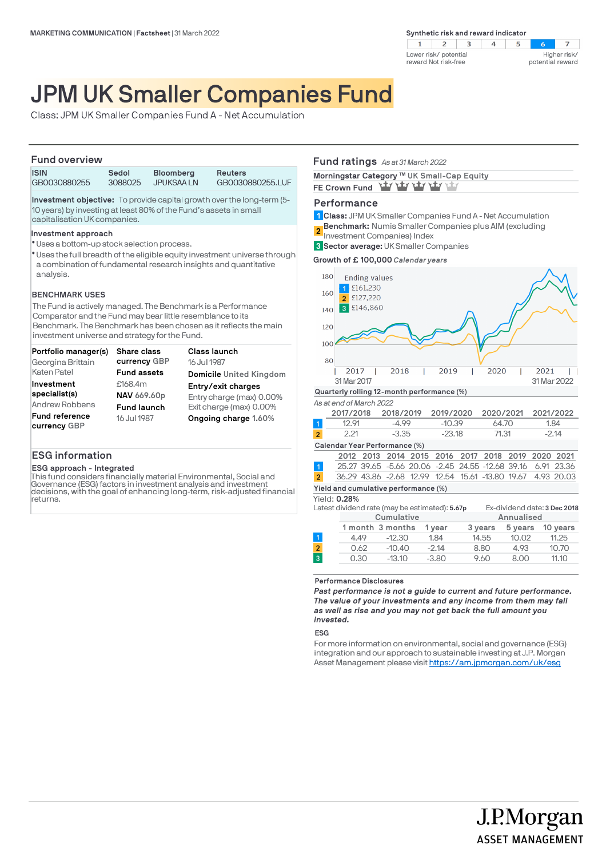

# JPM UK Smaller Companies Fund

Class: JPM UK Smaller Companies Fund A - Net Accumulation

## **Fund overview**

| .                           |  |  |  |                  |  |  |                                |  |                |  |                  |
|-----------------------------|--|--|--|------------------|--|--|--------------------------------|--|----------------|--|------------------|
| <b>ISIN</b><br>GB0030880255 |  |  |  | Sedol<br>3088025 |  |  | <b>Bloomberg</b><br>JPUKSAA LN |  | <b>Reuters</b> |  | GB0030880255.LUF |
|                             |  |  |  |                  |  |  |                                |  |                |  |                  |

**Investment objective:** To provide capital growth over the long-term (5- 10 years) by investing at least 80% of the Fund's assets in small capitalisation UK companies.

#### **Investment approach**

- Uses a bottom-up stock selection process. l
- \* Uses the full breadth of the eligible equity investment universe through a combination of fundamental research insights and quantitative analysis.

## **BENCHMARK USES**

The Fund is actively managed. The Benchmark is a Performance Comparator and the Fund may bear little resemblance to its Benchmark. The Benchmark has been chosen as it reflects the main investment universe and strategy for the Fund.

| Portfolio manager(s)                  | <b>Share class</b> | <b>Class launch</b>            |
|---------------------------------------|--------------------|--------------------------------|
| Georgina Brittain                     | currency GBP       | 16 Jul 1987                    |
| Katen Patel                           | <b>Fund assets</b> | <b>Domicile United Kingdom</b> |
| Investment                            | £168.4m            | Entry/exit charges             |
| specialist(s)                         | NAV 669.60p        | Entry charge (max) 0.00%       |
| Andrew Robbens                        | <b>Fund launch</b> | Exit charge (max) 0.00%        |
| <b>Fund reference</b><br>currency GBP | 16 Jul 1987        | Ongoing charge 1.60%           |

# **ESG information**

#### **ESG approach - Integrated**

This fund considers financially material Environmental, Social and Governance (ESG) factors in investment analysis and investment decisions, with the goal of enhancing long-term, risk-adjusted financial returns.

## **Fund ratings** *As at 31 March 2022*

| Morningstar Category ™ UK Small-Cap Equity |
|--------------------------------------------|
| FE Crown Fund Yu Yu Yu Yu Yu Yu            |

## **Performance**

**Class:** JPM UK Smaller Companies Fund A - Net Accumulation **1**

**Benchmark:** Numis Smaller Companies plus AIM (excluding **2**

Investment Companies) Index

**Sector average:** UK Smaller Companies **3**

**Growth of £ 100,000** *Calendar years*



Latest dividend rate (may be estimated): **5.67p** Ex-dividend date: **3 Dec 2018**

|                |      | Cumulative       |         |         | Annualised |          |  |  |
|----------------|------|------------------|---------|---------|------------|----------|--|--|
|                |      | 1 month 3 months | 1 vear  | 3 years | 5 years    | 10 vears |  |  |
| 1              | 4.49 | $-12.30$         | 1.84    | 14.55   | 10.02      | 11.25    |  |  |
| $\overline{a}$ | 0.62 | $-10.40$         | $-2.14$ | 8.80    | 4.93       | 10.70    |  |  |
| 3              | 0.30 | $-13.10$         | $-3.80$ | 9.60    | 8.00       | 11.10    |  |  |
|                |      |                  |         |         |            |          |  |  |

**Performance Disclosures**

*Past performance is not a guide to current and future performance. The value of your investments and any income from them may fall as well as rise and you may not get back the full amount you invested.* 

## **ESG**

For more information on environmental, social and governance (ESG) integration and our approach to sustainable investing at J.P. Morgan Asset Management please visit https://am.jpmorgan.com/uk/esg

J.P.Morgan

**ASSET MANAGEMENT**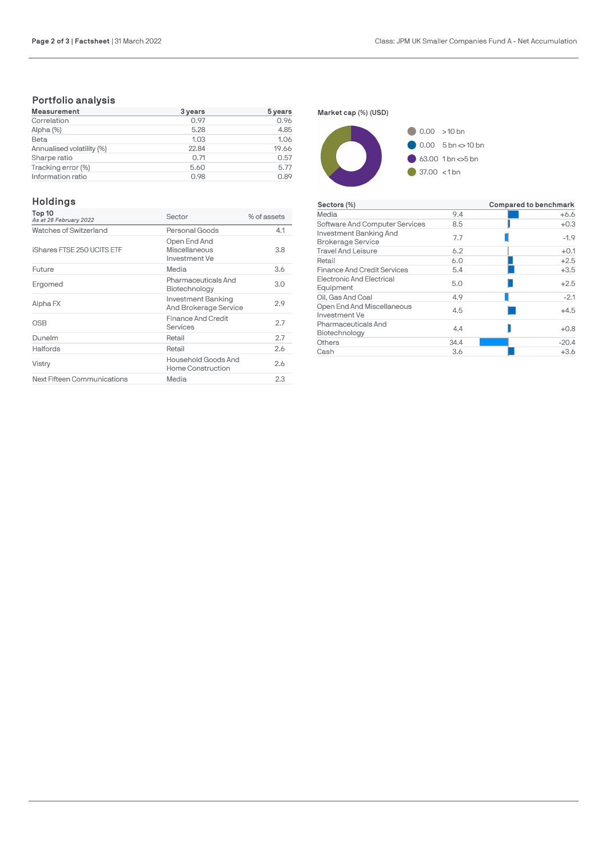# **Portfolio analysis**

| <b>Measurement</b>        | 3 years | 5 years |
|---------------------------|---------|---------|
| Correlation               | 0.97    | 0.96    |
| Alpha (%)                 | 5.28    | 4.85    |
| Beta                      | 1.03    | 1.06    |
| Annualised volatility (%) | 22.84   | 19.66   |
| Sharpe ratio              | 0.71    | 0.57    |
| Tracking error (%)        | 5.60    | 5.77    |
| Information ratio         | 0.98    | 0.89    |

# **Holdings**

| Top 10<br>As at 28 February 2022 | Sector                                         | % of assets |
|----------------------------------|------------------------------------------------|-------------|
| Watches of Switzerland           | Personal Goods                                 | 4.1         |
| iShares FTSE 250 UCITS ETF       | Open End And<br>Miscellaneous<br>Investment Ve | 3.8         |
| Future                           | Media                                          | 3.6         |
| Ergomed                          | Pharmaceuticals And<br>Biotechnology           | 3.0         |
| Alpha FX                         | Investment Banking<br>And Brokerage Service    | 2.9         |
| OSB                              | <b>Finance And Credit</b><br>Services          | 2.7         |
| Dunelm                           | Retail                                         | 2.7         |
| Halfords                         | Retail                                         | 2.6         |
| Vistry                           | Household Goods And<br>Home Construction       | 2.6         |
| Next Fifteen Communications      | Media                                          | 2.3         |





| Sectors (%)                                        |      | Compared to benchmark |
|----------------------------------------------------|------|-----------------------|
| Media                                              | 9.4  | +6.6                  |
| Software And Computer Services                     | 8.5  | $+0.3$                |
| Investment Banking And<br><b>Brokerage Service</b> | 7.7  | $-1.9$                |
| <b>Travel And Leisure</b>                          | 6.2  | $+0.1$                |
| Retail                                             | 6.0  | $+2.5$                |
| <b>Finance And Credit Services</b>                 | 5.4  | $+3.5$                |
| <b>Electronic And Electrical</b><br>Equipment      | 5.0  | $+2.5$                |
| Oil. Gas And Coal                                  | 4.9  | $-2.1$                |
| Open End And Miscellaneous<br>Investment Ve        | 4.5  | $+4.5$                |
| Pharmaceuticals And<br>Biotechnology               | 44   | $+0.8$                |
| Others                                             | 34.4 | $-20.4$               |
| Cash                                               | 3.6  | $+3.6$                |